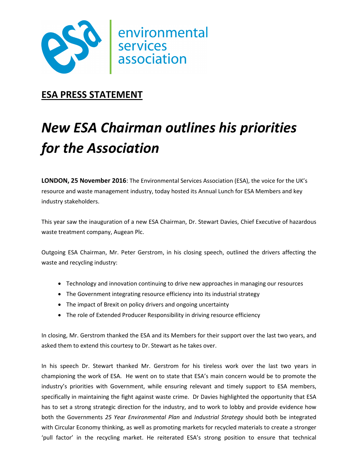

## **ESA PRESS STATEMENT**

# *New ESA Chairman outlines his priorities for the Association*

**LONDON, 25 November 2016**: The Environmental Services Association (ESA), the voice for the UK's resource and waste management industry, today hosted its Annual Lunch for ESA Members and key industry stakeholders.

This year saw the inauguration of a new ESA Chairman, Dr. Stewart Davies, Chief Executive of hazardous waste treatment company, Augean Plc.

Outgoing ESA Chairman, Mr. Peter Gerstrom, in his closing speech, outlined the drivers affecting the waste and recycling industry:

- Technology and innovation continuing to drive new approaches in managing our resources
- The Government integrating resource efficiency into its industrial strategy
- The impact of Brexit on policy drivers and ongoing uncertainty
- The role of Extended Producer Responsibility in driving resource efficiency

In closing, Mr. Gerstrom thanked the ESA and its Members for their support over the last two years, and asked them to extend this courtesy to Dr. Stewart as he takes over.

In his speech Dr. Stewart thanked Mr. Gerstrom for his tireless work over the last two years in championing the work of ESA. He went on to state that ESA's main concern would be to promote the industry's priorities with Government, while ensuring relevant and timely support to ESA members, specifically in maintaining the fight against waste crime. Dr Davies highlighted the opportunity that ESA has to set a strong strategic direction for the industry, and to work to lobby and provide evidence how both the Governments *25 Year Environmental Plan* and *Industrial Strategy* should both be integrated with Circular Economy thinking, as well as promoting markets for recycled materials to create a stronger 'pull factor' in the recycling market. He reiterated ESA's strong position to ensure that technical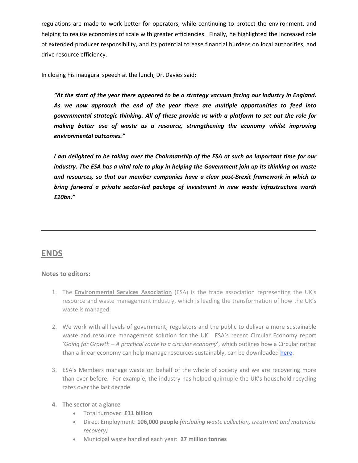regulations are made to work better for operators, while continuing to protect the environment, and helping to realise economies of scale with greater efficiencies. Finally, he highlighted the increased role of extended producer responsibility, and its potential to ease financial burdens on local authorities, and drive resource efficiency.

In closing his inaugural speech at the lunch, Dr. Davies said:

*"At the start of the year there appeared to be a strategy vacuum facing our industry in England. As we now approach the end of the year there are multiple opportunities to feed into governmental strategic thinking. All of these provide us with a platform to set out the role for making better use of waste as a resource, strengthening the economy whilst improving environmental outcomes."* 

*I am delighted to be taking over the Chairmanship of the ESA at such an important time for our industry. The ESA has a vital role to play in helping the Government join up its thinking on waste and resources, so that our member companies have a clear post-Brexit framework in which to bring forward a private sector-led package of investment in new waste infrastructure worth £10bn."* 

### **ENDS**

#### **Notes to editors:**

- 1. The **Environmental Services Association** (ESA) is the trade association representing the UK's resource and waste management industry, which is leading the transformation of how the UK's waste is managed.
- 2. We work with all levels of government, regulators and the public to deliver a more sustainable waste and resource management solution for the UK. ESA's recent Circular Economy report *'Going for Growth – A practical route to a circular economy*', which outlines how a Circular rather than a linear economy can help manage resources sustainably, can be downloaded here.
- 3. ESA's Members manage waste on behalf of the whole of society and we are recovering more than ever before. For example, the industry has helped quintuple the UK's household recycling rates over the last decade.

#### **4. The sector at a glance**

- Total turnover: **£11 billion**
- Direct Employment: **106,000 people** *(including waste collection, treatment and materials recovery)*
- Municipal waste handled each year: **27 million tonnes**